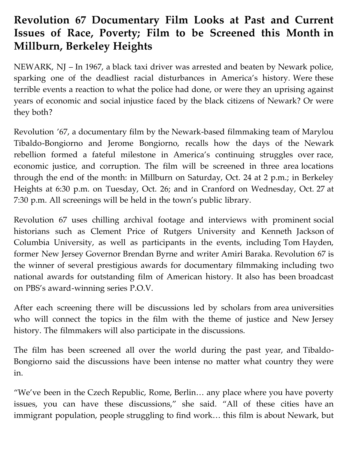## **Revolution 67 Documentary Film Looks at Past and Current Issues of Race, Poverty; Film to be Screened this Month in Millburn, Berkeley Heights**

NEWARK, NJ – In 1967, a black taxi driver was arrested and beaten by Newark police, sparking one of the deadliest racial disturbances in America's history. Were these terrible events a reaction to what the police had done, or were they an uprising against years of economic and social injustice faced by the black citizens of Newark? Or were they both?

Revolution '67, a documentary film by the Newark-based filmmaking team of Marylou Tibaldo-Bongiorno and Jerome Bongiorno, recalls how the days of the Newark rebellion formed a fateful milestone in America's continuing struggles over race, economic justice, and corruption. The film will be screened in three area locations through the end of the month: in Millburn on Saturday, Oct. 24 at 2 p.m.; in Berkeley Heights at 6:30 p.m. on Tuesday, Oct. 26; and in Cranford on Wednesday, Oct. 27 at 7:30 p.m. All screenings will be held in the town's public library.

Revolution 67 uses chilling archival footage and interviews with prominent social historians such as Clement Price of Rutgers University and Kenneth Jackson of Columbia University, as well as participants in the events, including Tom Hayden, former New Jersey Governor Brendan Byrne and writer Amiri Baraka. Revolution 67 is the winner of several prestigious awards for documentary filmmaking including two national awards for outstanding film of American history. It also has been broadcast on PBS's award-winning series P.O.V.

After each screening there will be discussions led by scholars from area universities who will connect the topics in the film with the theme of justice and New Jersey history. The filmmakers will also participate in the discussions.

The film has been screened all over the world during the past year, and Tibaldo-Bongiorno said the discussions have been intense no matter what country they were in.

"We've been in the Czech Republic, Rome, Berlin… any place where you have poverty issues, you can have these discussions," she said. "All of these cities have an immigrant population, people struggling to find work… this film is about Newark, but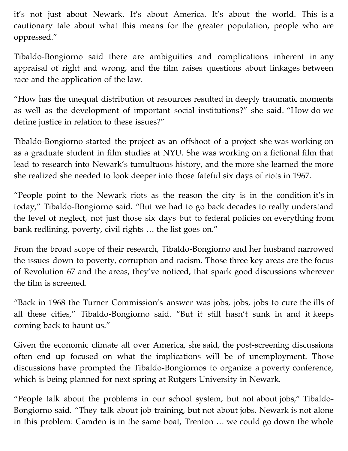it's not just about Newark. It's about America. It's about the world. This is a cautionary tale about what this means for the greater population, people who are oppressed."

Tibaldo-Bongiorno said there are ambiguities and complications inherent in any appraisal of right and wrong, and the film raises questions about linkages between race and the application of the law.

"How has the unequal distribution of resources resulted in deeply traumatic moments as well as the development of important social institutions?" she said. "How do we define justice in relation to these issues?"

Tibaldo-Bongiorno started the project as an offshoot of a project she was working on as a graduate student in film studies at NYU. She was working on a fictional film that lead to research into Newark's tumultuous history, and the more she learned the more she realized she needed to look deeper into those fateful six days of riots in 1967.

"People point to the Newark riots as the reason the city is in the condition it's in today," Tibaldo-Bongiorno said. "But we had to go back decades to really understand the level of neglect, not just those six days but to federal policies on everything from bank redlining, poverty, civil rights … the list goes on."

From the broad scope of their research, Tibaldo-Bongiorno and her husband narrowed the issues down to poverty, corruption and racism. Those three key areas are the focus of Revolution 67 and the areas, they've noticed, that spark good discussions wherever the film is screened.

"Back in 1968 the Turner Commission's answer was jobs, jobs, jobs to cure the ills of all these cities," Tibaldo-Bongiorno said. "But it still hasn't sunk in and it keeps coming back to haunt us."

Given the economic climate all over America, she said, the post-screening discussions often end up focused on what the implications will be of unemployment. Those discussions have prompted the Tibaldo-Bongiornos to organize a poverty conference, which is being planned for next spring at Rutgers University in Newark.

"People talk about the problems in our school system, but not about jobs," Tibaldo-Bongiorno said. "They talk about job training, but not about jobs. Newark is not alone in this problem: Camden is in the same boat, Trenton … we could go down the whole